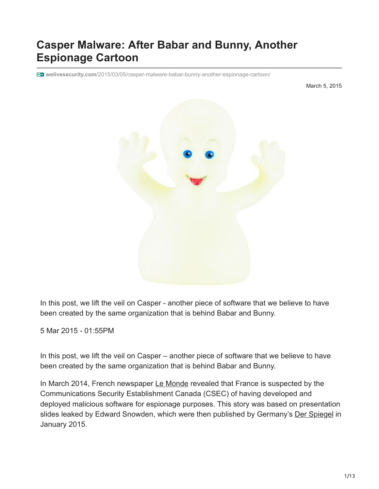# **Casper Malware: After Babar and Bunny, Another Espionage Cartoon**

**welivesecurity.com**[/2015/03/05/casper-malware-babar-bunny-another-espionage-cartoon/](https://www.welivesecurity.com/2015/03/05/casper-malware-babar-bunny-another-espionage-cartoon/)

March 5, 2015



In this post, we lift the veil on Casper - another piece of software that we believe to have been created by the same organization that is behind Babar and Bunny.

5 Mar 2015 - 01:55PM

In this post, we lift the veil on Casper – another piece of software that we believe to have been created by the same organization that is behind Babar and Bunny.

In March 2014, French newspaper [Le Monde](http://www.lemonde.fr/international/article/2014/03/21/quand-les-canadiens-partent-en-chasse-de-babar_4387233_3210.html) revealed that France is suspected by the Communications Security Establishment Canada (CSEC) of having developed and deployed malicious software for espionage purposes. This story was based on presentation slides leaked by Edward Snowden, which were then published by Germany's [Der Spiegel](http://www.spiegel.de/media/media-35683.pdf) in January 2015.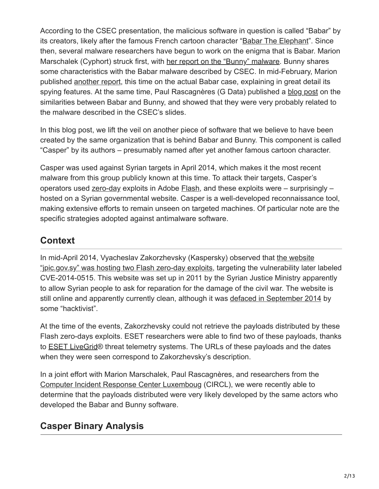According to the CSEC presentation, the malicious software in question is called "Babar" by its creators, likely after the famous French cartoon character "[Babar The Elephant"](http://en.wikipedia.org/wiki/Babar_the_Elephant). Since then, several malware researchers have begun to work on the enigma that is Babar. Marion Marschalek (Cyphort) struck first, with [her report on the "Bunny" malware.](http://www.cyphort.com/evilbunny-malware-instrumented-lua/) Bunny shares some characteristics with the Babar malware described by CSEC. In mid-February, Marion published [another report](http://www.cyphort.com/babar-suspected-nation-state-spyware-spotlight/), this time on the actual Babar case, explaining in great detail its spying features. At the same time, Paul Rascagnères (G Data) published a [blog post](https://blog.gdatasoftware.com/blog/article/babar-espionage-software-finally-found-and-put-under-the-microscope.html) on the similarities between Babar and Bunny, and showed that they were very probably related to the malware described in the CSEC's slides.

In this blog post, we lift the veil on another piece of software that we believe to have been created by the same organization that is behind Babar and Bunny. This component is called "Casper" by its authors – presumably named after yet another famous cartoon character.

Casper was used against Syrian targets in April 2014, which makes it the most recent malware from this group publicly known at this time. To attack their targets, Casper's operators used [zero-day](http://virusradar.com/glossary/zero-day) exploits in Adobe [Flash](https://www.welivesecurity.com/search/?s=Flash&x=0&y=0), and these exploits were – surprisingly – hosted on a Syrian governmental website. Casper is a well-developed reconnaissance tool, making extensive efforts to remain unseen on targeted machines. Of particular note are the specific strategies adopted against antimalware software.

## **Context**

[In mid-April 2014, Vyacheslav Zakorzhevsky \(Kaspersky\) observed that the website](http://securelist.com/blog/incidents/59399/new-flash-player-0-day-cve-2014-0515-used-in-watering-hole-attacks/) "jpic.gov.sy" was hosting two Flash zero-day exploits, targeting the vulnerability later labeled CVE-2014-0515. This website was set up in 2011 by the Syrian Justice Ministry apparently to allow Syrian people to ask for reparation for the damage of the civil war. The website is still online and apparently currently clean, although it was [defaced in September 2014](http://www.zone-h.org/mirror/id/22851174?zh=2) by some "hacktivist".

At the time of the events, Zakorzhevsky could not retrieve the payloads distributed by these Flash zero-days exploits. ESET researchers were able to find two of these payloads, thanks to [ESET LiveGrid®](http://www.eset.com/int/about/technology/#livegrid) threat telemetry systems. The URLs of these payloads and the dates when they were seen correspond to Zakorzhevsky's description.

In a joint effort with Marion Marschalek, Paul Rascagnères, and researchers from the [Computer Incident Response Center Luxemboug](http://www.circl.lu/) (CIRCL), we were recently able to determine that the payloads distributed were very likely developed by the same actors who developed the Babar and Bunny software.

## **Casper Binary Analysis**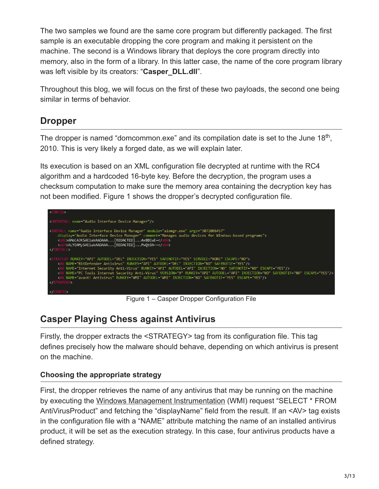The two samples we found are the same core program but differently packaged. The first sample is an executable dropping the core program and making it persistent on the machine. The second is a Windows library that deploys the core program directly into memory, also in the form of a library. In this latter case, the name of the core program library was left visible by its creators: "**Casper\_DLL.dll**".

Throughout this blog, we will focus on the first of these two payloads, the second one being similar in terms of behavior.

### **Dropper**

The dropper is named "domcommon.exe" and its compilation date is set to the June  $18<sup>th</sup>$ , 2010. This is very likely a forged date, as we will explain later.

Its execution is based on an XML configuration file decrypted at runtime with the RC4 algorithm and a hardcoded 16-byte key. Before the decryption, the program uses a checksum computation to make sure the memory area containing the decryption key has not been modified. Figure 1 shows the dropper's decrypted configuration file.



Figure 1 – Casper Dropper Configuration File

## **Casper Playing Chess against Antivirus**

Firstly, the dropper extracts the <STRATEGY> tag from its configuration file. This tag defines precisely how the malware should behave, depending on which antivirus is present on the machine.

#### **Choosing the appropriate strategy**

First, the dropper retrieves the name of any antivirus that may be running on the machine by executing the [Windows Management Instrumentation](https://msdn.microsoft.com/en-us/library/aa394582%28v=vs.85%29.aspx) (WMI) request "SELECT \* FROM AntiVirusProduct" and fetching the "displayName" field from the result. If an <AV> tag exists in the configuration file with a "NAME" attribute matching the name of an installed antivirus product, it will be set as the execution strategy. In this case, four antivirus products have a defined strategy.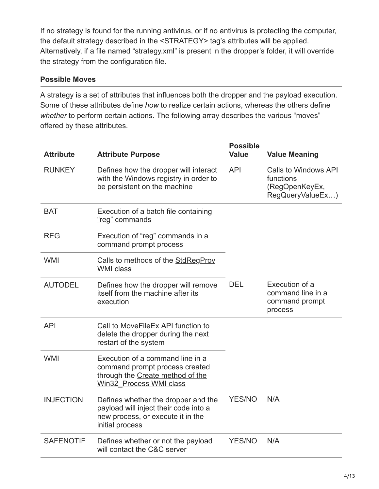If no strategy is found for the running antivirus, or if no antivirus is protecting the computer, the default strategy described in the <STRATEGY> tag's attributes will be applied. Alternatively, if a file named "strategy.xml" is present in the dropper's folder, it will override the strategy from the configuration file.

#### **Possible Moves**

A strategy is a set of attributes that influences both the dropper and the payload execution. Some of these attributes define *how* to realize certain actions, whereas the others define *whether* to perform certain actions. The following array describes the various "moves" offered by these attributes.

| <b>Attribute</b> | <b>Attribute Purpose</b>                                                                                                             | <b>Possible</b><br><b>Value</b> | <b>Value Meaning</b>                                                           |
|------------------|--------------------------------------------------------------------------------------------------------------------------------------|---------------------------------|--------------------------------------------------------------------------------|
| <b>RUNKEY</b>    | Defines how the dropper will interact<br>with the Windows registry in order to<br>be persistent on the machine                       | <b>API</b>                      | <b>Calls to Windows API</b><br>functions<br>(RegOpenKeyEx,<br>RegQueryValueEx) |
| <b>BAT</b>       | Execution of a batch file containing<br>"reg" commands                                                                               |                                 |                                                                                |
| <b>REG</b>       | Execution of "reg" commands in a<br>command prompt process                                                                           |                                 |                                                                                |
| <b>WMI</b>       | Calls to methods of the StdRegProv<br><b>WMI</b> class                                                                               |                                 |                                                                                |
| <b>AUTODEL</b>   | Defines how the dropper will remove<br>itself from the machine after its<br>execution                                                | <b>DEL</b>                      | Execution of a<br>command line in a<br>command prompt<br>process               |
| <b>API</b>       | Call to MoveFileEx API function to<br>delete the dropper during the next<br>restart of the system                                    |                                 |                                                                                |
| <b>WMI</b>       | Execution of a command line in a<br>command prompt process created<br>through the Create method of the<br>Win32 Process WMI class    |                                 |                                                                                |
| <b>INJECTION</b> | Defines whether the dropper and the<br>payload will inject their code into a<br>new process, or execute it in the<br>initial process | <b>YES/NO</b>                   | N/A                                                                            |
| <b>SAFENOTIF</b> | Defines whether or not the payload<br>will contact the C&C server                                                                    | <b>YES/NO</b>                   | N/A                                                                            |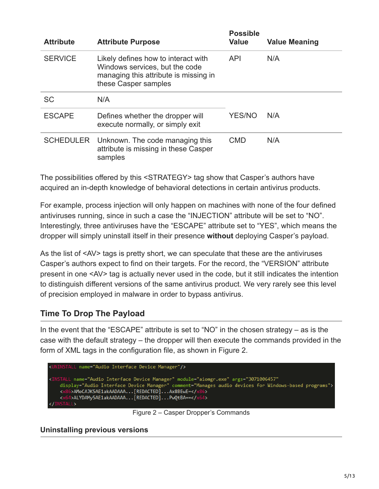| <b>Attribute</b> | <b>Attribute Purpose</b>                                                                                                               | <b>Possible</b><br><b>Value</b> | <b>Value Meaning</b> |
|------------------|----------------------------------------------------------------------------------------------------------------------------------------|---------------------------------|----------------------|
| <b>SERVICE</b>   | Likely defines how to interact with<br>Windows services, but the code<br>managing this attribute is missing in<br>these Casper samples | <b>API</b>                      | N/A                  |
| <b>SC</b>        | N/A                                                                                                                                    |                                 |                      |
| <b>ESCAPE</b>    | Defines whether the dropper will<br>execute normally, or simply exit                                                                   | <b>YES/NO</b>                   | N/A                  |
|                  | SCHEDULER Unknown. The code managing this<br>attribute is missing in these Casper<br>samples                                           | <b>CMD</b>                      | N/A                  |

The possibilities offered by this <STRATEGY> tag show that Casper's authors have acquired an in-depth knowledge of behavioral detections in certain antivirus products.

For example, process injection will only happen on machines with none of the four defined antiviruses running, since in such a case the "INJECTION" attribute will be set to "NO". Interestingly, three antiviruses have the "ESCAPE" attribute set to "YES", which means the dropper will simply uninstall itself in their presence **without** deploying Casper's payload.

As the list of <AV> tags is pretty short, we can speculate that these are the antiviruses Casper's authors expect to find on their targets. For the record, the "VERSION" attribute present in one <AV> tag is actually never used in the code, but it still indicates the intention to distinguish different versions of the same antivirus product. We very rarely see this level of precision employed in malware in order to bypass antivirus.

### **Time To Drop The Payload**

In the event that the "ESCAPE" attribute is set to "NO" in the chosen strategy – as is the case with the default strategy – the dropper will then execute the commands provided in the form of XML tags in the configuration file, as shown in Figure 2.



Figure 2 – Casper Dropper's Commands

**Uninstalling previous versions**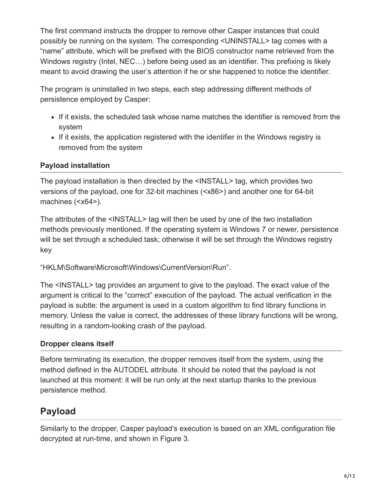The first command instructs the dropper to remove other Casper instances that could possibly be running on the system. The corresponding <UNINSTALL> tag comes with a "name" attribute, which will be prefixed with the BIOS constructor name retrieved from the Windows registry (Intel, NEC…) before being used as an identifier. This prefixing is likely meant to avoid drawing the user's attention if he or she happened to notice the identifier.

The program is uninstalled in two steps, each step addressing different methods of persistence employed by Casper:

- If it exists, the scheduled task whose name matches the identifier is removed from the system
- If it exists, the application registered with the identifier in the Windows registry is removed from the system

### **Payload installation**

The payload installation is then directed by the <INSTALL> tag, which provides two versions of the payload, one for 32-bit machines (<x86>) and another one for 64-bit machines (<x64>).

The attributes of the <INSTALL> tag will then be used by one of the two installation methods previously mentioned. If the operating system is Windows 7 or newer, persistence will be set through a scheduled task; otherwise it will be set through the Windows registry key

"HKLM\Software\Microsoft\Windows\CurrentVersion\Run".

The <INSTALL> tag provides an argument to give to the payload. The exact value of the argument is critical to the "correct" execution of the payload. The actual verification in the payload is subtle: the argument is used in a custom algorithm to find library functions in memory. Unless the value is correct, the addresses of these library functions will be wrong, resulting in a random-looking crash of the payload.

### **Dropper cleans itself**

Before terminating its execution, the dropper removes itself from the system, using the method defined in the AUTODEL attribute. It should be noted that the payload is not launched at this moment: it will be run only at the next startup thanks to the previous persistence method.

## **Payload**

Similarly to the dropper, Casper payload's execution is based on an XML configuration file decrypted at run-time, and shown in Figure 3.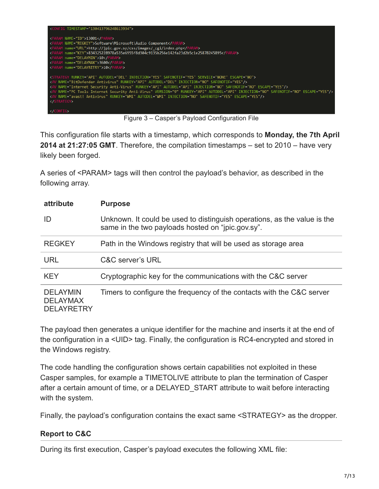

Figure 3 – Casper's Payload Configuration File

This configuration file starts with a timestamp, which corresponds to **Monday, the 7th April 2014 at 21:27:05 GMT**. Therefore, the compilation timestamps – set to 2010 – have very likely been forged.

A series of <PARAM> tags will then control the payload's behavior, as described in the following array.

| attribute                                               | <b>Purpose</b>                                                                                                                |
|---------------------------------------------------------|-------------------------------------------------------------------------------------------------------------------------------|
| ID                                                      | Unknown. It could be used to distinguish operations, as the value is the<br>same in the two payloads hosted on "jpic.gov.sy". |
| <b>REGKEY</b>                                           | Path in the Windows registry that will be used as storage area                                                                |
| <b>URL</b>                                              | C&C server's URL                                                                                                              |
| <b>KFY</b>                                              | Cryptographic key for the communications with the C&C server                                                                  |
| <b>DELAYMIN</b><br><b>DELAYMAX</b><br><b>DELAYRETRY</b> | Timers to configure the frequency of the contacts with the C&C server                                                         |

The payload then generates a unique identifier for the machine and inserts it at the end of the configuration in a <UID> tag. Finally, the configuration is RC4-encrypted and stored in the Windows registry.

The code handling the configuration shows certain capabilities not exploited in these Casper samples, for example a TIMETOLIVE attribute to plan the termination of Casper after a certain amount of time, or a DELAYED\_START attribute to wait before interacting with the system.

Finally, the payload's configuration contains the exact same <STRATEGY> as the dropper.

#### **Report to C&C**

During its first execution, Casper's payload executes the following XML file: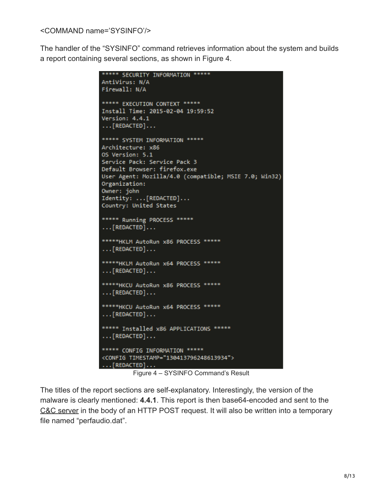<COMMAND name='SYSINFO'/>

The handler of the "SYSINFO" command retrieves information about the system and builds a report containing several sections, as shown in Figure 4.

```
***** SECURITY INFORMATION *****
AntiVirus: N/A
Firewall: N/A
***** EXECUTION CONTEXT *****
Install Time: 2015-02-04 19:59:52
Version: 4.4.1
\ldots [REDACTED]...
***** SYSTEM INFORMATION *****
Architecture: x86
OS Version: 5.1
Service Pack: Service Pack 3
Default Browser: firefox.exe
User Agent: Mozilla/4.0 (compatible; MSIE 7.0; Win32)
Organization:
Owner: john
Identity: ... [REDACTED]...
Country: United States
***** Running PROCESS *****
\ldots [REDACTED]...
***** HKLM AutoRun x86 PROCESS *****
\ldots [REDACTED]\ldots*****HKLM AutoRun x64 PROCESS *****
\ldots [REDACTED]...
***** HKCU AutoRun x86 PROCESS *****
\ldots [REDACTED]...
*****HKCU AutoRun x64 PROCESS *****
\ldots [REDACTED]...
***** Installed x86 APPLICATIONS *****
\ldots [REDACTED]...
***** CONFIG INFORMATION *****
<CONFIG TIMESTAMP="130413796248613934">
\ldots [REDACTED]...
```
Figure 4 – SYSINFO Command's Result

The titles of the report sections are self-explanatory. Interestingly, the version of the malware is clearly mentioned: **4.4.1**. This report is then base64-encoded and sent to the [C&C server](http://virusradar.com/en/glossary/command-and-control-server) in the body of an HTTP POST request. It will also be written into a temporary file named "perfaudio.dat".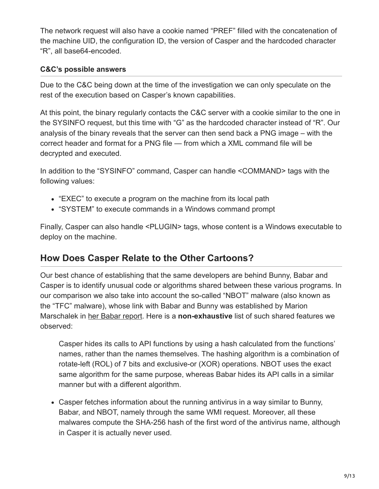The network request will also have a cookie named "PREF" filled with the concatenation of the machine UID, the configuration ID, the version of Casper and the hardcoded character "R", all base64-encoded.

### **C&C's possible answers**

Due to the C&C being down at the time of the investigation we can only speculate on the rest of the execution based on Casper's known capabilities.

At this point, the binary regularly contacts the C&C server with a cookie similar to the one in the SYSINFO request, but this time with "G" as the hardcoded character instead of "R". Our analysis of the binary reveals that the server can then send back a PNG image – with the correct header and format for a PNG file — from which a XML command file will be decrypted and executed.

In addition to the "SYSINFO" command, Casper can handle <COMMAND> tags with the following values:

- "EXEC" to execute a program on the machine from its local path
- "SYSTEM" to execute commands in a Windows command prompt

Finally, Casper can also handle <PLUGIN> tags, whose content is a Windows executable to deploy on the machine.

## **How Does Casper Relate to the Other Cartoons?**

Our best chance of establishing that the same developers are behind Bunny, Babar and Casper is to identify unusual code or algorithms shared between these various programs. In our comparison we also take into account the so-called "NBOT" malware (also known as the "TFC" malware), whose link with Babar and Bunny was established by Marion Marschalek in [her Babar report.](http://www.cyphort.com/babar-suspected-nation-state-spyware-spotlight/) Here is a **non-exhaustive** list of such shared features we observed:

Casper hides its calls to API functions by using a hash calculated from the functions' names, rather than the names themselves. The hashing algorithm is a combination of rotate-left (ROL) of 7 bits and exclusive-or (XOR) operations. NBOT uses the exact same algorithm for the same purpose, whereas Babar hides its API calls in a similar manner but with a different algorithm.

Casper fetches information about the running antivirus in a way similar to Bunny, Babar, and NBOT, namely through the same WMI request. Moreover, all these malwares compute the SHA-256 hash of the first word of the antivirus name, although in Casper it is actually never used.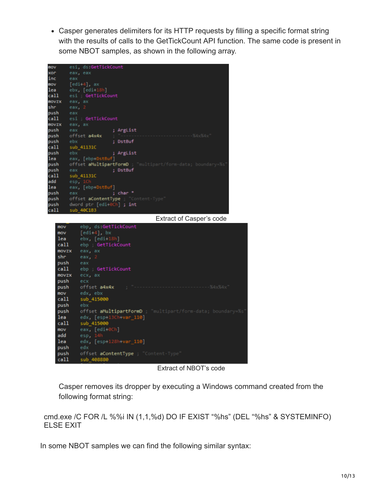Casper generates delimiters for its HTTP requests by filling a specific format string with the results of calls to the GetTickCount API function. The same code is present in some NBOT samples, as shown in the following array.

| mov   | esi, ds:GetTickCount                                       |
|-------|------------------------------------------------------------|
| xor   | eax, eax                                                   |
| inc   | eax                                                        |
| mov   | $[edi+4]$ , ax                                             |
| lea   | $ebx$ , $[edi+18h]$                                        |
| call  | esi ; GetTickCount                                         |
|       |                                                            |
| movzx | eax, ax                                                    |
| shr.  | eax, $2$                                                   |
| push  | eax                                                        |
| call. | esi ; GetTickCount                                         |
| movzx | eax, ax                                                    |
| push  | ; ArgList<br>eax                                           |
| push  | offset a4x4x                                               |
| push  | ebx<br>: DstBuf                                            |
| call  | sub 41131C                                                 |
| push  | ebx<br>; ArgList                                           |
| lea.  | eax, [ebp+DstBuf]                                          |
| push  | offset aMultipartFormD<br>ultipart/form-data; boundary=%s' |
| push  | ; DstBuf<br>eax                                            |
| call  | sub_41131C                                                 |
| add   | esp, 1C                                                    |
| lea   | eax, [ebp+DstBuf]                                          |
| push  | ; char *<br>eax                                            |
| push  | offset <b>aContentType</b> ; "Co<br>ntent-Type             |
| push  | dword $ptr$ [edi+0Ch] ; int                                |
| call  | sub_40C1B3                                                 |
|       | Extract of Casper's code                                   |
|       |                                                            |
| mov   | ebp, ds:GetTickCount                                       |
| mov   | $[edi+4]$ , bx                                             |
| lea   | ebx, [edi+18h]                                             |
| call  | ebp ; GetTickCount                                         |
| movzx | eax, ax                                                    |
| shr   | eax, 2                                                     |
| push  | eax                                                        |
| call  | ebp : GetTickCount                                         |
| movzx | ecx, ax                                                    |
| push  | ecx                                                        |
| push  | %4x%4x"<br>offset a4x4x                                    |
| mov   | edx, ebx                                                   |
| call  | sub_415000                                                 |
| push  | ebx                                                        |
|       | offset aMultipartFormD ; "multipart/form-data; boundary=%  |
| push  |                                                            |
| lea.  | edx, [esp+13Ch+ <b>var_110</b> ]                           |
| call  | sub_415000                                                 |
| mov   | eax, [edi+0Ch]                                             |
| add   | esp, 14h                                                   |
| lea   | edx, [esp+128h+var_110]                                    |
| push  | edx                                                        |
| push  | offset aContentType ; "Content-Type"                       |
| call  | sub 408880                                                 |
|       |                                                            |

Extract of NBOT's code

Casper removes its dropper by executing a Windows command created from the following format string:

cmd.exe /C FOR /L %%i IN (1,1,%d) DO IF EXIST "%hs" (DEL "%hs" & SYSTEMINFO) ELSE EXIT

In some NBOT samples we can find the following similar syntax: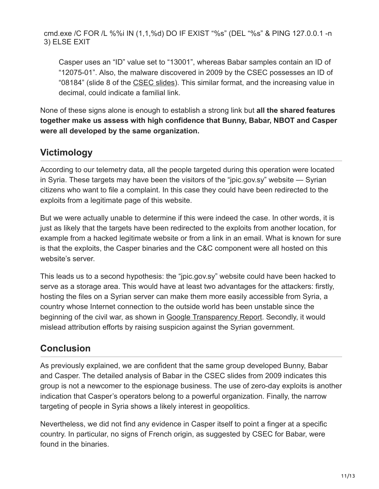cmd.exe /C FOR /L %%i IN (1,1,%d) DO IF EXIST "%s" (DEL "%s" & PING 127.0.0.1 -n 3) ELSE EXIT

Casper uses an "ID" value set to "13001", whereas Babar samples contain an ID of "12075-01". Also, the malware discovered in 2009 by the CSEC possesses an ID of "08184" (slide 8 of the [CSEC slides\)](http://www.spiegel.de/media/media-35683.pdf). This similar format, and the increasing value in decimal, could indicate a familial link.

None of these signs alone is enough to establish a strong link but **all the shared features together make us assess with high confidence that Bunny, Babar, NBOT and Casper were all developed by the same organization.**

## **Victimology**

According to our telemetry data, all the people targeted during this operation were located in Syria. These targets may have been the visitors of the "jpic.gov.sy" website — Syrian citizens who want to file a complaint. In this case they could have been redirected to the exploits from a legitimate page of this website.

But we were actually unable to determine if this were indeed the case. In other words, it is just as likely that the targets have been redirected to the exploits from another location, for example from a hacked legitimate website or from a link in an email. What is known for sure is that the exploits, the Casper binaries and the C&C component were all hosted on this website's server.

This leads us to a second hypothesis: the "jpic.gov.sy" website could have been hacked to serve as a storage area. This would have at least two advantages for the attackers: firstly, hosting the files on a Syrian server can make them more easily accessible from Syria, a country whose Internet connection to the outside world has been unstable since the beginning of the civil war, as shown in [Google Transparency Report.](http://www.google.com/transparencyreport/traffic/explorer/?r=SY&l=EVERYTHING&csd=1301710971931&ced=1413615600000) Secondly, it would mislead attribution efforts by raising suspicion against the Syrian government.

## **Conclusion**

As previously explained, we are confident that the same group developed Bunny, Babar and Casper. The detailed analysis of Babar in the CSEC slides from 2009 indicates this group is not a newcomer to the espionage business. The use of zero-day exploits is another indication that Casper's operators belong to a powerful organization. Finally, the narrow targeting of people in Syria shows a likely interest in geopolitics.

Nevertheless, we did not find any evidence in Casper itself to point a finger at a specific country. In particular, no signs of French origin, as suggested by CSEC for Babar, were found in the binaries.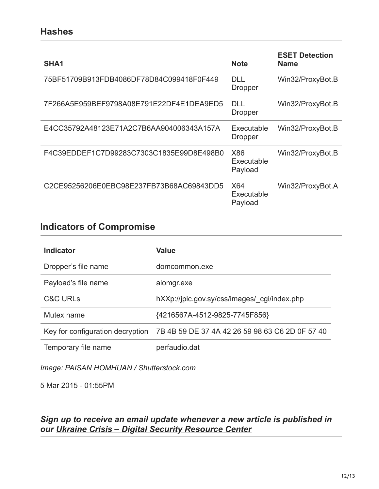### **Hashes**

| SHA <sub>1</sub>                         | <b>Note</b>                  | <b>ESET Detection</b><br><b>Name</b> |
|------------------------------------------|------------------------------|--------------------------------------|
| 75BF51709B913FDB4086DF78D84C099418F0F449 | DLL<br><b>Dropper</b>        | Win32/ProxyBot.B                     |
| 7F266A5E959BEF9798A08E791E22DF4E1DEA9ED5 | DLL<br><b>Dropper</b>        | Win32/ProxyBot.B                     |
| E4CC35792A48123E71A2C7B6AA904006343A157A | Executable<br><b>Dropper</b> | Win32/ProxyBot.B                     |
| F4C39EDDEF1C7D99283C7303C1835E99D8E498B0 | X86<br>Executable<br>Payload | Win32/ProxyBot.B                     |
| C2CE95256206E0EBC98E237FB73B68AC69843DD5 | X64<br>Executable<br>Payload | Win32/ProxyBot.A                     |

## **Indicators of Compromise**

| <b>Indicator</b>    | Value                                                                            |
|---------------------|----------------------------------------------------------------------------------|
| Dropper's file name | domcommon.exe                                                                    |
| Payload's file name | aiomgr.exe                                                                       |
| <b>C&amp;C URLS</b> | hXXp://jpic.gov.sy/css/images/ cgi/index.php                                     |
| Mutex name          | {4216567A-4512-9825-7745F856}                                                    |
|                     | Key for configuration decryption 7B 4B 59 DE 37 4A 42 26 59 98 63 C6 2D 0F 57 40 |
| Temporary file name | perfaudio.dat                                                                    |

*Image: PAISAN HOMHUAN / Shutterstock.com*

5 Mar 2015 - 01:55PM

*Sign up to receive an email update whenever a new article is published in our [Ukraine Crisis – Digital Security Resource Center](https://www.welivesecurity.com/category/ukraine-crisis-digital-security-resource-center/)*